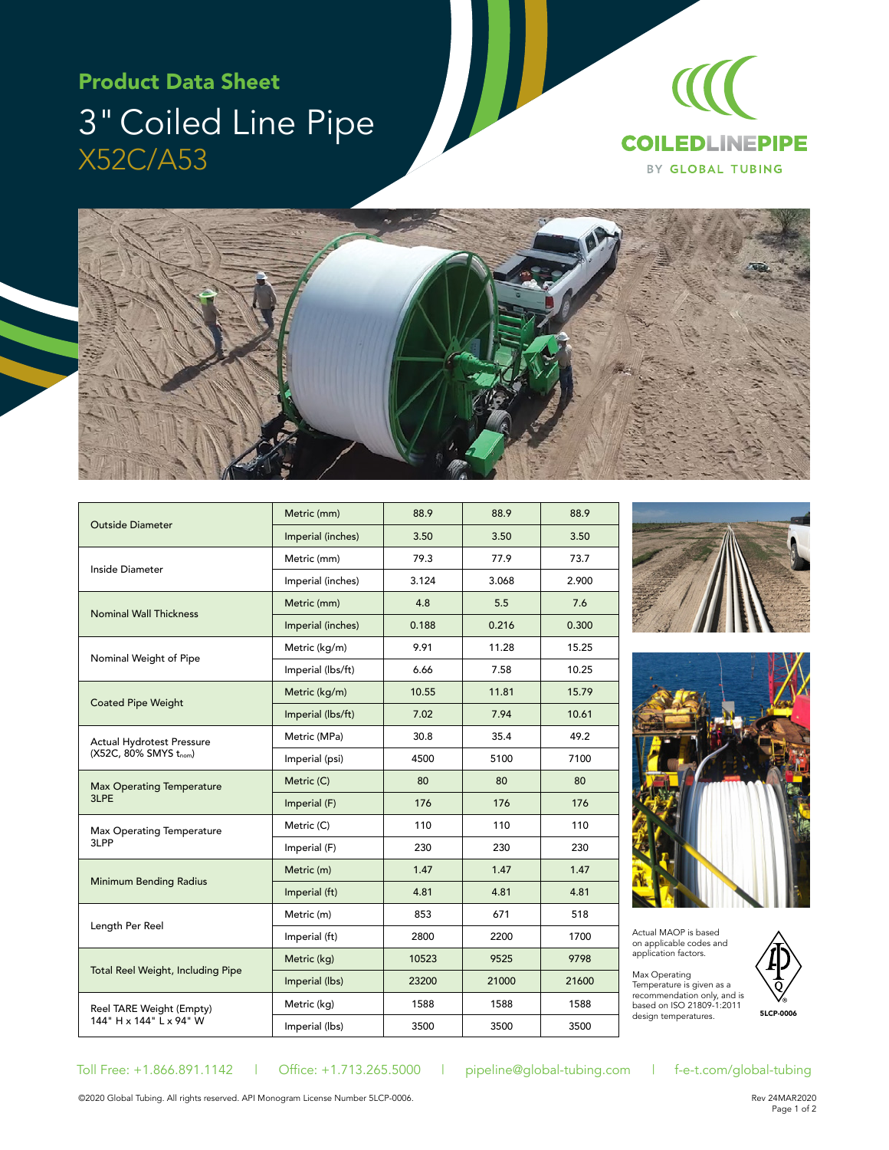# Product Data Sheet 3" Coiled Line Pipe X52C/A53





| Outside Diameter                                    | Metric (mm)       | 88.9  | 88.9  | 88.9  |
|-----------------------------------------------------|-------------------|-------|-------|-------|
|                                                     | Imperial (inches) | 3.50  | 3.50  | 3.50  |
| Inside Diameter                                     | Metric (mm)       | 79.3  | 77.9  | 73.7  |
|                                                     | Imperial (inches) | 3.124 | 3.068 | 2.900 |
| <b>Nominal Wall Thickness</b>                       | Metric (mm)       | 4.8   | 5.5   | 7.6   |
|                                                     | Imperial (inches) | 0.188 | 0.216 | 0.300 |
| Nominal Weight of Pipe                              | Metric (kg/m)     | 9.91  | 11.28 | 15.25 |
|                                                     | Imperial (lbs/ft) | 6.66  | 7.58  | 10.25 |
| <b>Coated Pipe Weight</b>                           | Metric (kg/m)     | 10.55 | 11.81 | 15.79 |
|                                                     | Imperial (lbs/ft) | 7.02  | 7.94  | 10.61 |
| Actual Hydrotest Pressure<br>(X52C, 80% SMYS tnom)  | Metric (MPa)      | 30.8  | 35.4  | 49.2  |
|                                                     | Imperial (psi)    | 4500  | 5100  | 7100  |
| <b>Max Operating Temperature</b><br>3LPE            | Metric (C)        | 80    | 80    | 80    |
|                                                     | Imperial (F)      | 176   | 176   | 176   |
| <b>Max Operating Temperature</b><br>3LPP            | Metric (C)        | 110   | 110   | 110   |
|                                                     | Imperial (F)      | 230   | 230   | 230   |
| <b>Minimum Bending Radius</b>                       | Metric (m)        | 1.47  | 1.47  | 1.47  |
|                                                     | Imperial (ft)     | 4.81  | 4.81  | 4.81  |
| Length Per Reel                                     | Metric (m)        | 853   | 671   | 518   |
|                                                     | Imperial (ft)     | 2800  | 2200  | 1700  |
| Total Reel Weight, Including Pipe                   | Metric (kg)       | 10523 | 9525  | 9798  |
|                                                     | Imperial (lbs)    | 23200 | 21000 | 21600 |
| Reel TARE Weight (Empty)<br>144" H x 144" L x 94" W | Metric (kg)       | 1588  | 1588  | 1588  |
|                                                     | Imperial (lbs)    | 3500  | 3500  | 3500  |





Actual MAOP is based on applicable codes and application factors.

Max Operating<br>Temperature is given as a recommendation only, and is based on ISO 21809-1:2011 design temperatures.



Toll Free: +1.866.891.1142 | Office: +1.713.265.5000 | pipeline@global-tubing.com | f-e-t.com/global-tubing

©2020 Global Tubing. All rights reserved. API Monogram License Number 5LCP-0006.